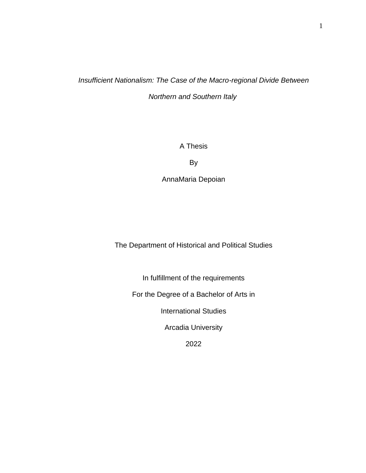# *Insufficient Nationalism: The Case of the Macro-regional Divide Between Northern and Southern Italy*

A Thesis

By

AnnaMaria Depoian

The Department of Historical and Political Studies

In fulfillment of the requirements

For the Degree of a Bachelor of Arts in

International Studies

Arcadia University

2022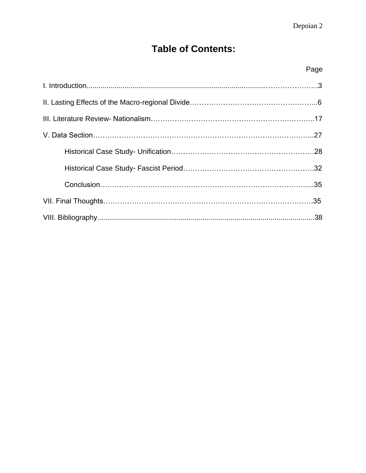# **Table of Contents:**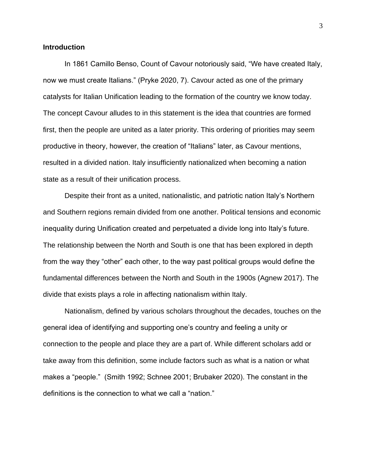## **Introduction**

In 1861 Camillo Benso, Count of Cavour notoriously said, "We have created Italy, now we must create Italians." (Pryke 2020, 7). Cavour acted as one of the primary catalysts for Italian Unification leading to the formation of the country we know today. The concept Cavour alludes to in this statement is the idea that countries are formed first, then the people are united as a later priority. This ordering of priorities may seem productive in theory, however, the creation of "Italians" later, as Cavour mentions, resulted in a divided nation. Italy insufficiently nationalized when becoming a nation state as a result of their unification process.

Despite their front as a united, nationalistic, and patriotic nation Italy's Northern and Southern regions remain divided from one another. Political tensions and economic inequality during Unification created and perpetuated a divide long into Italy's future. The relationship between the North and South is one that has been explored in depth from the way they "other" each other, to the way past political groups would define the fundamental differences between the North and South in the 1900s (Agnew 2017). The divide that exists plays a role in affecting nationalism within Italy.

Nationalism, defined by various scholars throughout the decades, touches on the general idea of identifying and supporting one's country and feeling a unity or connection to the people and place they are a part of. While different scholars add or take away from this definition, some include factors such as what is a nation or what makes a "people." (Smith 1992; Schnee 2001; Brubaker 2020). The constant in the definitions is the connection to what we call a "nation."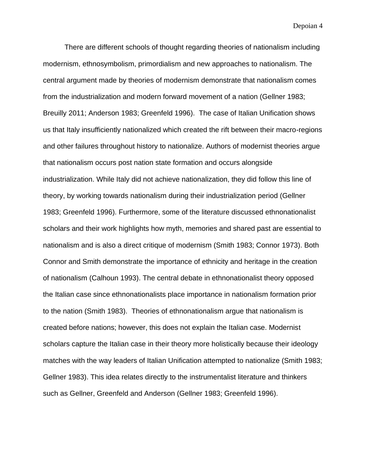There are different schools of thought regarding theories of nationalism including modernism, ethnosymbolism, primordialism and new approaches to nationalism. The central argument made by theories of modernism demonstrate that nationalism comes from the industrialization and modern forward movement of a nation (Gellner 1983; Breuilly 2011; Anderson 1983; Greenfeld 1996). The case of Italian Unification shows us that Italy insufficiently nationalized which created the rift between their macro-regions and other failures throughout history to nationalize. Authors of modernist theories argue that nationalism occurs post nation state formation and occurs alongside industrialization. While Italy did not achieve nationalization, they did follow this line of theory, by working towards nationalism during their industrialization period (Gellner 1983; Greenfeld 1996). Furthermore, some of the literature discussed ethnonationalist scholars and their work highlights how myth, memories and shared past are essential to nationalism and is also a direct critique of modernism (Smith 1983; Connor 1973). Both Connor and Smith demonstrate the importance of ethnicity and heritage in the creation of nationalism (Calhoun 1993). The central debate in ethnonationalist theory opposed the Italian case since ethnonationalists place importance in nationalism formation prior to the nation (Smith 1983). Theories of ethnonationalism argue that nationalism is created before nations; however, this does not explain the Italian case. Modernist scholars capture the Italian case in their theory more holistically because their ideology matches with the way leaders of Italian Unification attempted to nationalize (Smith 1983; Gellner 1983). This idea relates directly to the instrumentalist literature and thinkers such as Gellner, Greenfeld and Anderson (Gellner 1983; Greenfeld 1996).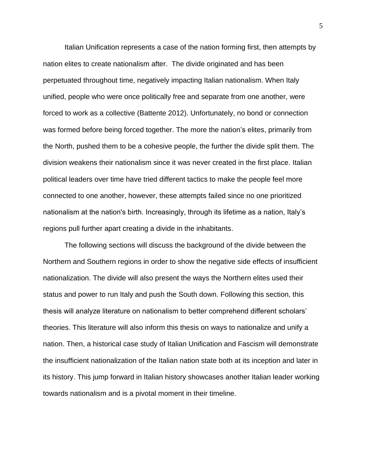Italian Unification represents a case of the nation forming first, then attempts by nation elites to create nationalism after. The divide originated and has been perpetuated throughout time, negatively impacting Italian nationalism. When Italy unified, people who were once politically free and separate from one another, were forced to work as a collective (Battente 2012). Unfortunately, no bond or connection was formed before being forced together. The more the nation's elites, primarily from the North, pushed them to be a cohesive people, the further the divide split them. The division weakens their nationalism since it was never created in the first place. Italian political leaders over time have tried different tactics to make the people feel more connected to one another, however, these attempts failed since no one prioritized nationalism at the nation's birth. Increasingly, through its lifetime as a nation, Italy's regions pull further apart creating a divide in the inhabitants.

The following sections will discuss the background of the divide between the Northern and Southern regions in order to show the negative side effects of insufficient nationalization. The divide will also present the ways the Northern elites used their status and power to run Italy and push the South down. Following this section, this thesis will analyze literature on nationalism to better comprehend different scholars' theories. This literature will also inform this thesis on ways to nationalize and unify a nation. Then, a historical case study of Italian Unification and Fascism will demonstrate the insufficient nationalization of the Italian nation state both at its inception and later in its history. This jump forward in Italian history showcases another Italian leader working towards nationalism and is a pivotal moment in their timeline.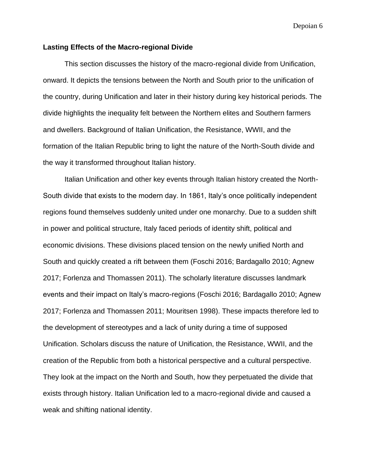### **Lasting Effects of the Macro-regional Divide**

This section discusses the history of the macro-regional divide from Unification, onward. It depicts the tensions between the North and South prior to the unification of the country, during Unification and later in their history during key historical periods. The divide highlights the inequality felt between the Northern elites and Southern farmers and dwellers. Background of Italian Unification, the Resistance, WWII, and the formation of the Italian Republic bring to light the nature of the North-South divide and the way it transformed throughout Italian history.

Italian Unification and other key events through Italian history created the North-South divide that exists to the modern day. In 1861, Italy's once politically independent regions found themselves suddenly united under one monarchy. Due to a sudden shift in power and political structure, Italy faced periods of identity shift, political and economic divisions. These divisions placed tension on the newly unified North and South and quickly created a rift between them (Foschi 2016; Bardagallo 2010; Agnew 2017; Forlenza and Thomassen 2011). The scholarly literature discusses landmark events and their impact on Italy's macro-regions (Foschi 2016; Bardagallo 2010; Agnew 2017; Forlenza and Thomassen 2011; Mouritsen 1998). These impacts therefore led to the development of stereotypes and a lack of unity during a time of supposed Unification. Scholars discuss the nature of Unification, the Resistance, WWII, and the creation of the Republic from both a historical perspective and a cultural perspective. They look at the impact on the North and South, how they perpetuated the divide that exists through history. Italian Unification led to a macro-regional divide and caused a weak and shifting national identity.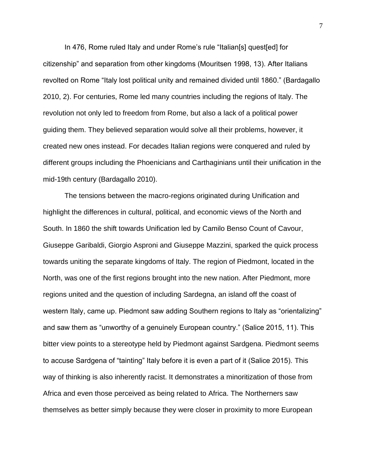In 476, Rome ruled Italy and under Rome's rule "Italian[s] quest[ed] for citizenship" and separation from other kingdoms (Mouritsen 1998, 13). After Italians revolted on Rome "Italy lost political unity and remained divided until 1860." (Bardagallo 2010, 2). For centuries, Rome led many countries including the regions of Italy. The revolution not only led to freedom from Rome, but also a lack of a political power guiding them. They believed separation would solve all their problems, however, it created new ones instead. For decades Italian regions were conquered and ruled by different groups including the Phoenicians and Carthaginians until their unification in the mid-19th century (Bardagallo 2010).

The tensions between the macro-regions originated during Unification and highlight the differences in cultural, political, and economic views of the North and South. In 1860 the shift towards Unification led by Camilo Benso Count of Cavour, Giuseppe Garibaldi, Giorgio Asproni and Giuseppe Mazzini, sparked the quick process towards uniting the separate kingdoms of Italy. The region of Piedmont, located in the North, was one of the first regions brought into the new nation. After Piedmont, more regions united and the question of including Sardegna, an island off the coast of western Italy, came up. Piedmont saw adding Southern regions to Italy as "orientalizing" and saw them as "unworthy of a genuinely European country." (Salice 2015, 11). This bitter view points to a stereotype held by Piedmont against Sardgena. Piedmont seems to accuse Sardgena of "tainting" Italy before it is even a part of it (Salice 2015). This way of thinking is also inherently racist. It demonstrates a minoritization of those from Africa and even those perceived as being related to Africa. The Northerners saw themselves as better simply because they were closer in proximity to more European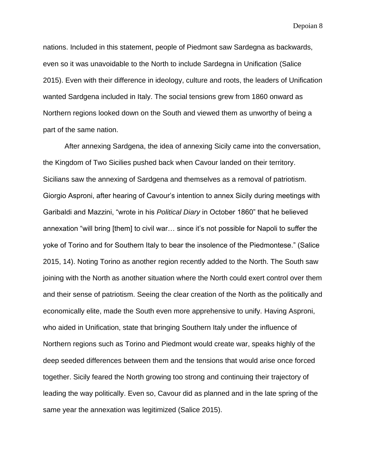nations. Included in this statement, people of Piedmont saw Sardegna as backwards, even so it was unavoidable to the North to include Sardegna in Unification (Salice 2015). Even with their difference in ideology, culture and roots, the leaders of Unification wanted Sardgena included in Italy. The social tensions grew from 1860 onward as Northern regions looked down on the South and viewed them as unworthy of being a part of the same nation.

After annexing Sardgena, the idea of annexing Sicily came into the conversation, the Kingdom of Two Sicilies pushed back when Cavour landed on their territory. Sicilians saw the annexing of Sardgena and themselves as a removal of patriotism. Giorgio Asproni, after hearing of Cavour's intention to annex Sicily during meetings with Garibaldi and Mazzini, "wrote in his *Political Diary* in October 1860" that he believed annexation "will bring [them] to civil war… since it's not possible for Napoli to suffer the yoke of Torino and for Southern Italy to bear the insolence of the Piedmontese." (Salice 2015, 14). Noting Torino as another region recently added to the North. The South saw joining with the North as another situation where the North could exert control over them and their sense of patriotism. Seeing the clear creation of the North as the politically and economically elite, made the South even more apprehensive to unify. Having Asproni, who aided in Unification, state that bringing Southern Italy under the influence of Northern regions such as Torino and Piedmont would create war, speaks highly of the deep seeded differences between them and the tensions that would arise once forced together. Sicily feared the North growing too strong and continuing their trajectory of leading the way politically. Even so, Cavour did as planned and in the late spring of the same year the annexation was legitimized (Salice 2015).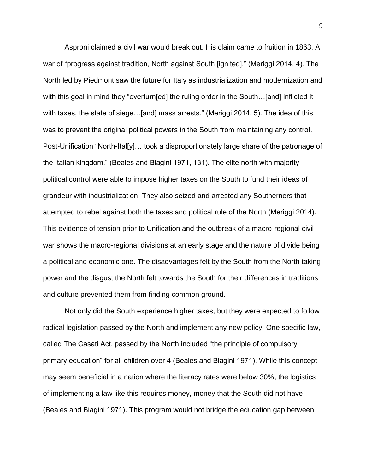Asproni claimed a civil war would break out. His claim came to fruition in 1863. A war of "progress against tradition, North against South [ignited]." (Meriggi 2014, 4). The North led by Piedmont saw the future for Italy as industrialization and modernization and with this goal in mind they "overturn[ed] the ruling order in the South...[and] inflicted it with taxes, the state of siege...[and] mass arrests." (Meriggi 2014, 5). The idea of this was to prevent the original political powers in the South from maintaining any control. Post-Unification "North-Ital[y]… took a disproportionately large share of the patronage of the Italian kingdom." (Beales and Biagini 1971, 131). The elite north with majority political control were able to impose higher taxes on the South to fund their ideas of grandeur with industrialization. They also seized and arrested any Southerners that attempted to rebel against both the taxes and political rule of the North (Meriggi 2014). This evidence of tension prior to Unification and the outbreak of a macro-regional civil war shows the macro-regional divisions at an early stage and the nature of divide being a political and economic one. The disadvantages felt by the South from the North taking power and the disgust the North felt towards the South for their differences in traditions and culture prevented them from finding common ground.

Not only did the South experience higher taxes, but they were expected to follow radical legislation passed by the North and implement any new policy. One specific law, called The Casati Act, passed by the North included "the principle of compulsory primary education" for all children over 4 (Beales and Biagini 1971). While this concept may seem beneficial in a nation where the literacy rates were below 30%, the logistics of implementing a law like this requires money, money that the South did not have (Beales and Biagini 1971). This program would not bridge the education gap between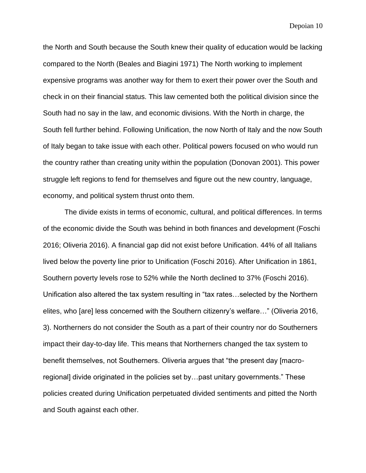the North and South because the South knew their quality of education would be lacking compared to the North (Beales and Biagini 1971) The North working to implement expensive programs was another way for them to exert their power over the South and check in on their financial status. This law cemented both the political division since the South had no say in the law, and economic divisions. With the North in charge, the South fell further behind. Following Unification, the now North of Italy and the now South of Italy began to take issue with each other. Political powers focused on who would run the country rather than creating unity within the population (Donovan 2001). This power struggle left regions to fend for themselves and figure out the new country, language, economy, and political system thrust onto them.

The divide exists in terms of economic, cultural, and political differences. In terms of the economic divide the South was behind in both finances and development (Foschi 2016; Oliveria 2016). A financial gap did not exist before Unification. 44% of all Italians lived below the poverty line prior to Unification (Foschi 2016). After Unification in 1861, Southern poverty levels rose to 52% while the North declined to 37% (Foschi 2016). Unification also altered the tax system resulting in "tax rates…selected by the Northern elites, who [are] less concerned with the Southern citizenry's welfare…" (Oliveria 2016, 3). Northerners do not consider the South as a part of their country nor do Southerners impact their day-to-day life. This means that Northerners changed the tax system to benefit themselves, not Southerners. Oliveria argues that "the present day [macroregional] divide originated in the policies set by…past unitary governments." These policies created during Unification perpetuated divided sentiments and pitted the North and South against each other.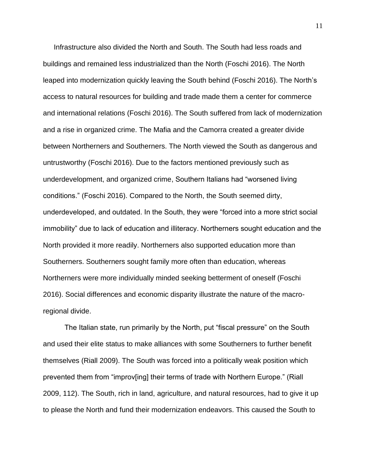Infrastructure also divided the North and South. The South had less roads and buildings and remained less industrialized than the North (Foschi 2016). The North leaped into modernization quickly leaving the South behind (Foschi 2016). The North's access to natural resources for building and trade made them a center for commerce and international relations (Foschi 2016). The South suffered from lack of modernization and a rise in organized crime. The Mafia and the Camorra created a greater divide between Northerners and Southerners. The North viewed the South as dangerous and untrustworthy (Foschi 2016). Due to the factors mentioned previously such as underdevelopment, and organized crime, Southern Italians had "worsened living conditions." (Foschi 2016). Compared to the North, the South seemed dirty, underdeveloped, and outdated. In the South, they were "forced into a more strict social immobility" due to lack of education and illiteracy. Northerners sought education and the North provided it more readily. Northerners also supported education more than Southerners. Southerners sought family more often than education, whereas Northerners were more individually minded seeking betterment of oneself (Foschi 2016). Social differences and economic disparity illustrate the nature of the macroregional divide.

The Italian state, run primarily by the North, put "fiscal pressure" on the South and used their elite status to make alliances with some Southerners to further benefit themselves (Riall 2009). The South was forced into a politically weak position which prevented them from "improv[ing] their terms of trade with Northern Europe." (Riall 2009, 112). The South, rich in land, agriculture, and natural resources, had to give it up to please the North and fund their modernization endeavors. This caused the South to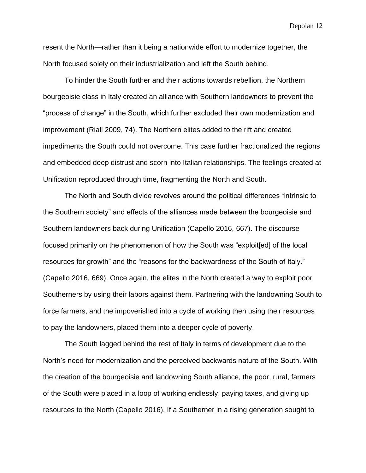resent the North—rather than it being a nationwide effort to modernize together, the North focused solely on their industrialization and left the South behind.

To hinder the South further and their actions towards rebellion, the Northern bourgeoisie class in Italy created an alliance with Southern landowners to prevent the "process of change" in the South, which further excluded their own modernization and improvement (Riall 2009, 74). The Northern elites added to the rift and created impediments the South could not overcome. This case further fractionalized the regions and embedded deep distrust and scorn into Italian relationships. The feelings created at Unification reproduced through time, fragmenting the North and South.

The North and South divide revolves around the political differences "intrinsic to the Southern society" and effects of the alliances made between the bourgeoisie and Southern landowners back during Unification (Capello 2016, 667). The discourse focused primarily on the phenomenon of how the South was "exploit[ed] of the local resources for growth" and the "reasons for the backwardness of the South of Italy." (Capello 2016, 669). Once again, the elites in the North created a way to exploit poor Southerners by using their labors against them. Partnering with the landowning South to force farmers, and the impoverished into a cycle of working then using their resources to pay the landowners, placed them into a deeper cycle of poverty.

The South lagged behind the rest of Italy in terms of development due to the North's need for modernization and the perceived backwards nature of the South. With the creation of the bourgeoisie and landowning South alliance, the poor, rural, farmers of the South were placed in a loop of working endlessly, paying taxes, and giving up resources to the North (Capello 2016). If a Southerner in a rising generation sought to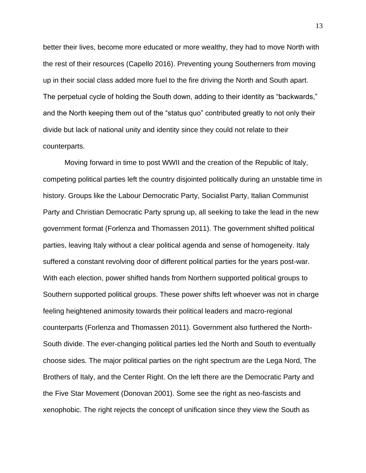better their lives, become more educated or more wealthy, they had to move North with the rest of their resources (Capello 2016). Preventing young Southerners from moving up in their social class added more fuel to the fire driving the North and South apart. The perpetual cycle of holding the South down, adding to their identity as "backwards," and the North keeping them out of the "status quo" contributed greatly to not only their divide but lack of national unity and identity since they could not relate to their counterparts.

Moving forward in time to post WWII and the creation of the Republic of Italy, competing political parties left the country disjointed politically during an unstable time in history. Groups like the Labour Democratic Party, Socialist Party, Italian Communist Party and Christian Democratic Party sprung up, all seeking to take the lead in the new government format (Forlenza and Thomassen 2011). The government shifted political parties, leaving Italy without a clear political agenda and sense of homogeneity. Italy suffered a constant revolving door of different political parties for the years post-war. With each election, power shifted hands from Northern supported political groups to Southern supported political groups. These power shifts left whoever was not in charge feeling heightened animosity towards their political leaders and macro-regional counterparts (Forlenza and Thomassen 2011). Government also furthered the North-South divide. The ever-changing political parties led the North and South to eventually choose sides. The major political parties on the right spectrum are the Lega Nord, The Brothers of Italy, and the Center Right. On the left there are the Democratic Party and the Five Star Movement (Donovan 2001). Some see the right as neo-fascists and xenophobic. The right rejects the concept of unification since they view the South as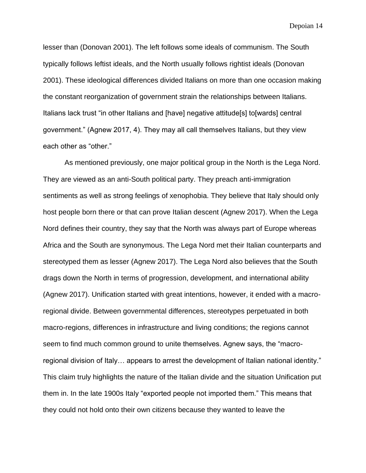lesser than (Donovan 2001). The left follows some ideals of communism. The South typically follows leftist ideals, and the North usually follows rightist ideals (Donovan 2001). These ideological differences divided Italians on more than one occasion making the constant reorganization of government strain the relationships between Italians. Italians lack trust "in other Italians and [have] negative attitude[s] to[wards] central government." (Agnew 2017, 4). They may all call themselves Italians, but they view each other as "other."

As mentioned previously, one major political group in the North is the Lega Nord. They are viewed as an anti-South political party. They preach anti-immigration sentiments as well as strong feelings of xenophobia. They believe that Italy should only host people born there or that can prove Italian descent (Agnew 2017). When the Lega Nord defines their country, they say that the North was always part of Europe whereas Africa and the South are synonymous. The Lega Nord met their Italian counterparts and stereotyped them as lesser (Agnew 2017). The Lega Nord also believes that the South drags down the North in terms of progression, development, and international ability (Agnew 2017). Unification started with great intentions, however, it ended with a macroregional divide. Between governmental differences, stereotypes perpetuated in both macro-regions, differences in infrastructure and living conditions; the regions cannot seem to find much common ground to unite themselves. Agnew says, the "macroregional division of Italy… appears to arrest the development of Italian national identity." This claim truly highlights the nature of the Italian divide and the situation Unification put them in. In the late 1900s Italy "exported people not imported them." This means that they could not hold onto their own citizens because they wanted to leave the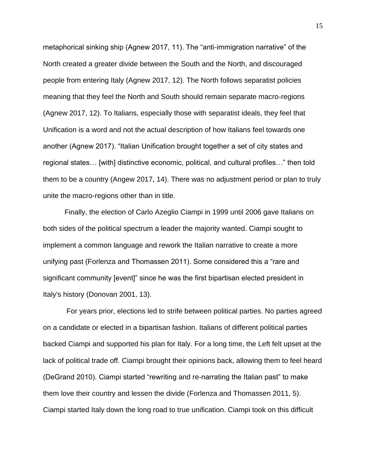metaphorical sinking ship (Agnew 2017, 11). The "anti-immigration narrative" of the North created a greater divide between the South and the North, and discouraged people from entering Italy (Agnew 2017, 12). The North follows separatist policies meaning that they feel the North and South should remain separate macro-regions (Agnew 2017, 12). To Italians, especially those with separatist ideals, they feel that Unification is a word and not the actual description of how Italians feel towards one another (Agnew 2017). "Italian Unification brought together a set of city states and regional states… [with] distinctive economic, political, and cultural profiles…" then told them to be a country (Angew 2017, 14). There was no adjustment period or plan to truly unite the macro-regions other than in title.

Finally, the election of Carlo Azeglio Ciampi in 1999 until 2006 gave Italians on both sides of the political spectrum a leader the majority wanted. Ciampi sought to implement a common language and rework the Italian narrative to create a more unifying past (Forlenza and Thomassen 2011). Some considered this a "rare and significant community [event]" since he was the first bipartisan elected president in Italy's history (Donovan 2001, 13).

For years prior, elections led to strife between political parties. No parties agreed on a candidate or elected in a bipartisan fashion. Italians of different political parties backed Ciampi and supported his plan for Italy. For a long time, the Left felt upset at the lack of political trade off. Ciampi brought their opinions back, allowing them to feel heard (DeGrand 2010). Ciampi started "rewriting and re-narrating the Italian past" to make them love their country and lessen the divide (Forlenza and Thomassen 2011, 5). Ciampi started Italy down the long road to true unification. Ciampi took on this difficult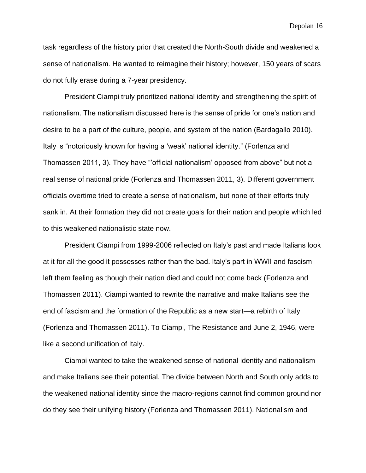task regardless of the history prior that created the North-South divide and weakened a sense of nationalism. He wanted to reimagine their history; however, 150 years of scars do not fully erase during a 7-year presidency.

President Ciampi truly prioritized national identity and strengthening the spirit of nationalism. The nationalism discussed here is the sense of pride for one's nation and desire to be a part of the culture, people, and system of the nation (Bardagallo 2010). Italy is "notoriously known for having a 'weak' national identity." (Forlenza and Thomassen 2011, 3). They have "'official nationalism' opposed from above" but not a real sense of national pride (Forlenza and Thomassen 2011, 3). Different government officials overtime tried to create a sense of nationalism, but none of their efforts truly sank in. At their formation they did not create goals for their nation and people which led to this weakened nationalistic state now.

President Ciampi from 1999-2006 reflected on Italy's past and made Italians look at it for all the good it possesses rather than the bad. Italy's part in WWII and fascism left them feeling as though their nation died and could not come back (Forlenza and Thomassen 2011). Ciampi wanted to rewrite the narrative and make Italians see the end of fascism and the formation of the Republic as a new start—a rebirth of Italy (Forlenza and Thomassen 2011). To Ciampi, The Resistance and June 2, 1946, were like a second unification of Italy.

Ciampi wanted to take the weakened sense of national identity and nationalism and make Italians see their potential. The divide between North and South only adds to the weakened national identity since the macro-regions cannot find common ground nor do they see their unifying history (Forlenza and Thomassen 2011). Nationalism and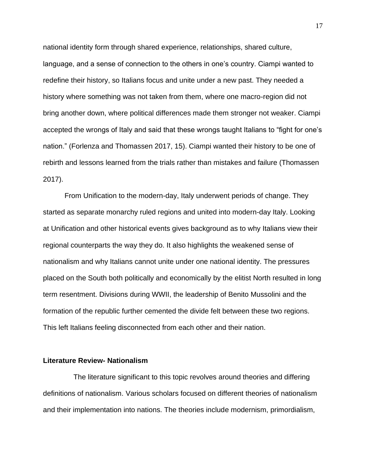national identity form through shared experience, relationships, shared culture, language, and a sense of connection to the others in one's country. Ciampi wanted to redefine their history, so Italians focus and unite under a new past. They needed a history where something was not taken from them, where one macro-region did not bring another down, where political differences made them stronger not weaker. Ciampi accepted the wrongs of Italy and said that these wrongs taught Italians to "fight for one's nation." (Forlenza and Thomassen 2017, 15). Ciampi wanted their history to be one of rebirth and lessons learned from the trials rather than mistakes and failure (Thomassen 2017).

From Unification to the modern-day, Italy underwent periods of change. They started as separate monarchy ruled regions and united into modern-day Italy. Looking at Unification and other historical events gives background as to why Italians view their regional counterparts the way they do. It also highlights the weakened sense of nationalism and why Italians cannot unite under one national identity. The pressures placed on the South both politically and economically by the elitist North resulted in long term resentment. Divisions during WWII, the leadership of Benito Mussolini and the formation of the republic further cemented the divide felt between these two regions. This left Italians feeling disconnected from each other and their nation.

#### **Literature Review- Nationalism**

 The literature significant to this topic revolves around theories and differing definitions of nationalism. Various scholars focused on different theories of nationalism and their implementation into nations. The theories include modernism, primordialism,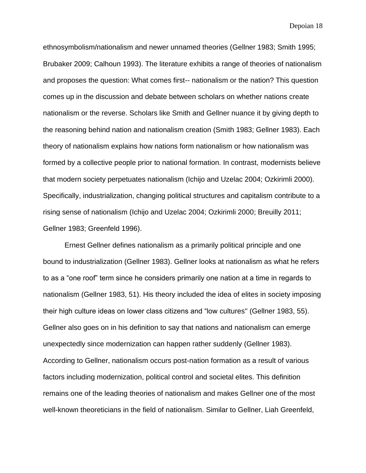ethnosymbolism/nationalism and newer unnamed theories (Gellner 1983; Smith 1995; Brubaker 2009; Calhoun 1993). The literature exhibits a range of theories of nationalism and proposes the question: What comes first-- nationalism or the nation? This question comes up in the discussion and debate between scholars on whether nations create nationalism or the reverse. Scholars like Smith and Gellner nuance it by giving depth to the reasoning behind nation and nationalism creation (Smith 1983; Gellner 1983). Each theory of nationalism explains how nations form nationalism or how nationalism was formed by a collective people prior to national formation. In contrast, modernists believe that modern society perpetuates nationalism (Ichijo and Uzelac 2004; Ozkirimli 2000). Specifically, industrialization, changing political structures and capitalism contribute to a rising sense of nationalism (Ichijo and Uzelac 2004; Ozkirimli 2000; Breuilly 2011; Gellner 1983; Greenfeld 1996).

Ernest Gellner defines nationalism as a primarily political principle and one bound to industrialization (Gellner 1983). Gellner looks at nationalism as what he refers to as a "one roof" term since he considers primarily one nation at a time in regards to nationalism (Gellner 1983, 51). His theory included the idea of elites in society imposing their high culture ideas on lower class citizens and "low cultures'' (Gellner 1983, 55). Gellner also goes on in his definition to say that nations and nationalism can emerge unexpectedly since modernization can happen rather suddenly (Gellner 1983). According to Gellner, nationalism occurs post-nation formation as a result of various factors including modernization, political control and societal elites. This definition remains one of the leading theories of nationalism and makes Gellner one of the most well-known theoreticians in the field of nationalism. Similar to Gellner, Liah Greenfeld,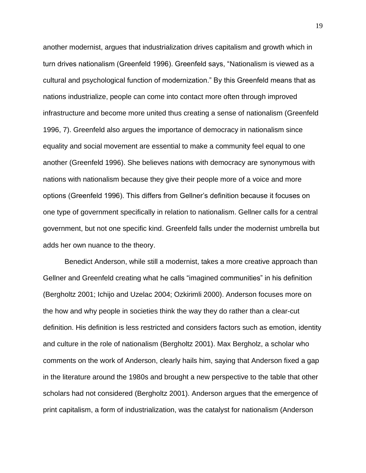another modernist, argues that industrialization drives capitalism and growth which in turn drives nationalism (Greenfeld 1996). Greenfeld says, "Nationalism is viewed as a cultural and psychological function of modernization." By this Greenfeld means that as nations industrialize, people can come into contact more often through improved infrastructure and become more united thus creating a sense of nationalism (Greenfeld 1996, 7). Greenfeld also argues the importance of democracy in nationalism since equality and social movement are essential to make a community feel equal to one another (Greenfeld 1996). She believes nations with democracy are synonymous with nations with nationalism because they give their people more of a voice and more options (Greenfeld 1996). This differs from Gellner's definition because it focuses on one type of government specifically in relation to nationalism. Gellner calls for a central government, but not one specific kind. Greenfeld falls under the modernist umbrella but adds her own nuance to the theory.

Benedict Anderson, while still a modernist, takes a more creative approach than Gellner and Greenfeld creating what he calls "imagined communities" in his definition (Bergholtz 2001; Ichijo and Uzelac 2004; Ozkirimli 2000). Anderson focuses more on the how and why people in societies think the way they do rather than a clear-cut definition. His definition is less restricted and considers factors such as emotion, identity and culture in the role of nationalism (Bergholtz 2001). Max Bergholz, a scholar who comments on the work of Anderson, clearly hails him, saying that Anderson fixed a gap in the literature around the 1980s and brought a new perspective to the table that other scholars had not considered (Bergholtz 2001). Anderson argues that the emergence of print capitalism, a form of industrialization, was the catalyst for nationalism (Anderson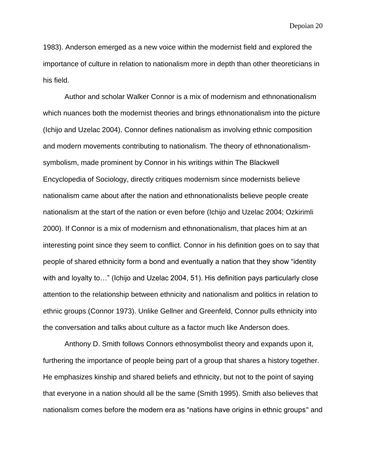1983). Anderson emerged as a new voice within the modernist field and explored the importance of culture in relation to nationalism more in depth than other theoreticians in his field.

Author and scholar Walker Connor is a mix of modernism and ethnonationalism which nuances both the modernist theories and brings ethnonationalism into the picture (Ichijo and Uzelac 2004). Connor defines nationalism as involving ethnic composition and modern movements contributing to nationalism. The theory of ethnonationalismsymbolism, made prominent by Connor in his writings within The Blackwell Encyclopedia of Sociology, directly critiques modernism since modernists believe nationalism came about after the nation and ethnonationalists believe people create nationalism at the start of the nation or even before (Ichijo and Uzelac 2004; Ozkirimli 2000). If Connor is a mix of modernism and ethnonationalism, that places him at an interesting point since they seem to conflict. Connor in his definition goes on to say that people of shared ethnicity form a bond and eventually a nation that they show "identity with and loyalty to..." (Ichijo and Uzelac 2004, 51). His definition pays particularly close attention to the relationship between ethnicity and nationalism and politics in relation to ethnic groups (Connor 1973). Unlike Gellner and Greenfeld, Connor pulls ethnicity into the conversation and talks about culture as a factor much like Anderson does.

Anthony D. Smith follows Connors ethnosymbolist theory and expands upon it, furthering the importance of people being part of a group that shares a history together. He emphasizes kinship and shared beliefs and ethnicity, but not to the point of saying that everyone in a nation should all be the same (Smith 1995). Smith also believes that nationalism comes before the modern era as "nations have origins in ethnic groups'' and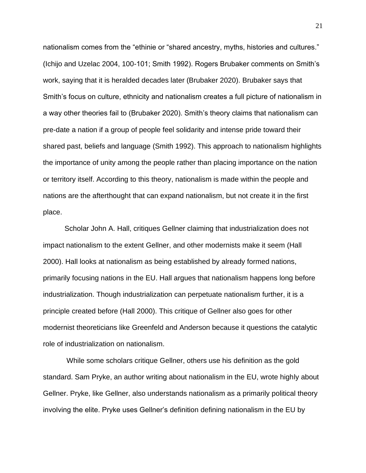nationalism comes from the "ethinie or "shared ancestry, myths, histories and cultures." (Ichijo and Uzelac 2004, 100-101; Smith 1992). Rogers Brubaker comments on Smith's work, saying that it is heralded decades later (Brubaker 2020). Brubaker says that Smith's focus on culture, ethnicity and nationalism creates a full picture of nationalism in a way other theories fail to (Brubaker 2020). Smith's theory claims that nationalism can pre-date a nation if a group of people feel solidarity and intense pride toward their shared past, beliefs and language (Smith 1992). This approach to nationalism highlights the importance of unity among the people rather than placing importance on the nation or territory itself. According to this theory, nationalism is made within the people and nations are the afterthought that can expand nationalism, but not create it in the first place.

Scholar John A. Hall, critiques Gellner claiming that industrialization does not impact nationalism to the extent Gellner, and other modernists make it seem (Hall 2000). Hall looks at nationalism as being established by already formed nations, primarily focusing nations in the EU. Hall argues that nationalism happens long before industrialization. Though industrialization can perpetuate nationalism further, it is a principle created before (Hall 2000). This critique of Gellner also goes for other modernist theoreticians like Greenfeld and Anderson because it questions the catalytic role of industrialization on nationalism.

While some scholars critique Gellner, others use his definition as the gold standard. Sam Pryke, an author writing about nationalism in the EU, wrote highly about Gellner. Pryke, like Gellner, also understands nationalism as a primarily political theory involving the elite. Pryke uses Gellner's definition defining nationalism in the EU by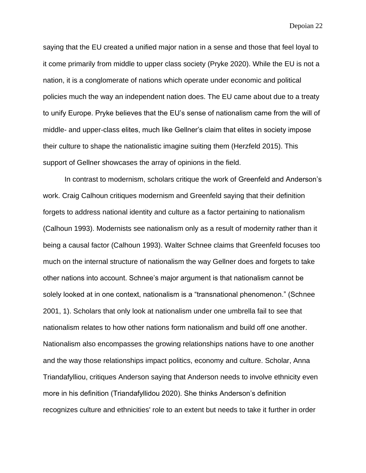saying that the EU created a unified major nation in a sense and those that feel loyal to it come primarily from middle to upper class society (Pryke 2020). While the EU is not a nation, it is a conglomerate of nations which operate under economic and political policies much the way an independent nation does. The EU came about due to a treaty to unify Europe. Pryke believes that the EU's sense of nationalism came from the will of middle- and upper-class elites, much like Gellner's claim that elites in society impose their culture to shape the nationalistic imagine suiting them (Herzfeld 2015). This support of Gellner showcases the array of opinions in the field.

In contrast to modernism, scholars critique the work of Greenfeld and Anderson's work. Craig Calhoun critiques modernism and Greenfeld saying that their definition forgets to address national identity and culture as a factor pertaining to nationalism (Calhoun 1993). Modernists see nationalism only as a result of modernity rather than it being a causal factor (Calhoun 1993). Walter Schnee claims that Greenfeld focuses too much on the internal structure of nationalism the way Gellner does and forgets to take other nations into account. Schnee's major argument is that nationalism cannot be solely looked at in one context, nationalism is a "transnational phenomenon." (Schnee 2001, 1). Scholars that only look at nationalism under one umbrella fail to see that nationalism relates to how other nations form nationalism and build off one another. Nationalism also encompasses the growing relationships nations have to one another and the way those relationships impact politics, economy and culture. Scholar, Anna Triandafylliou, critiques Anderson saying that Anderson needs to involve ethnicity even more in his definition (Triandafyllidou 2020). She thinks Anderson's definition recognizes culture and ethnicities' role to an extent but needs to take it further in order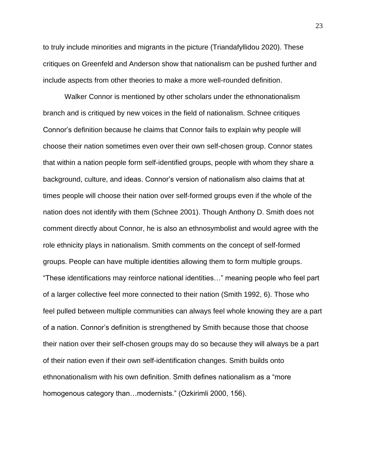to truly include minorities and migrants in the picture (Triandafyllidou 2020). These critiques on Greenfeld and Anderson show that nationalism can be pushed further and include aspects from other theories to make a more well-rounded definition.

Walker Connor is mentioned by other scholars under the ethnonationalism branch and is critiqued by new voices in the field of nationalism. Schnee critiques Connor's definition because he claims that Connor fails to explain why people will choose their nation sometimes even over their own self-chosen group. Connor states that within a nation people form self-identified groups, people with whom they share a background, culture, and ideas. Connor's version of nationalism also claims that at times people will choose their nation over self-formed groups even if the whole of the nation does not identify with them (Schnee 2001). Though Anthony D. Smith does not comment directly about Connor, he is also an ethnosymbolist and would agree with the role ethnicity plays in nationalism. Smith comments on the concept of self-formed groups. People can have multiple identities allowing them to form multiple groups. "These identifications may reinforce national identities…" meaning people who feel part of a larger collective feel more connected to their nation (Smith 1992, 6). Those who feel pulled between multiple communities can always feel whole knowing they are a part of a nation. Connor's definition is strengthened by Smith because those that choose their nation over their self-chosen groups may do so because they will always be a part of their nation even if their own self-identification changes. Smith builds onto ethnonationalism with his own definition. Smith defines nationalism as a "more homogenous category than…modernists." (Ozkirimli 2000, 156).

23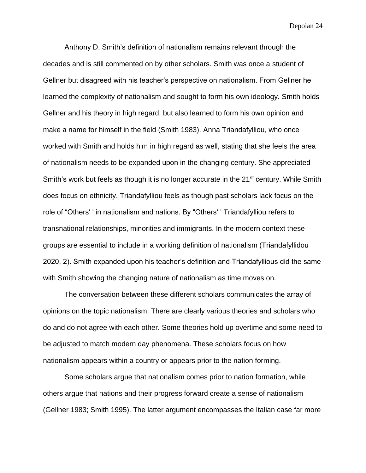Anthony D. Smith's definition of nationalism remains relevant through the decades and is still commented on by other scholars. Smith was once a student of Gellner but disagreed with his teacher's perspective on nationalism. From Gellner he learned the complexity of nationalism and sought to form his own ideology. Smith holds Gellner and his theory in high regard, but also learned to form his own opinion and make a name for himself in the field (Smith 1983). Anna Triandafylliou, who once worked with Smith and holds him in high regard as well, stating that she feels the area of nationalism needs to be expanded upon in the changing century. She appreciated Smith's work but feels as though it is no longer accurate in the 21<sup>st</sup> century. While Smith does focus on ethnicity, Triandafylliou feels as though past scholars lack focus on the role of "Others' ' in nationalism and nations. By "Others' ' Triandafylliou refers to transnational relationships, minorities and immigrants. In the modern context these groups are essential to include in a working definition of nationalism (Triandafyllidou 2020, 2). Smith expanded upon his teacher's definition and Triandafyllious did the same with Smith showing the changing nature of nationalism as time moves on.

The conversation between these different scholars communicates the array of opinions on the topic nationalism. There are clearly various theories and scholars who do and do not agree with each other. Some theories hold up overtime and some need to be adjusted to match modern day phenomena. These scholars focus on how nationalism appears within a country or appears prior to the nation forming.

Some scholars argue that nationalism comes prior to nation formation, while others argue that nations and their progress forward create a sense of nationalism (Gellner 1983; Smith 1995). The latter argument encompasses the Italian case far more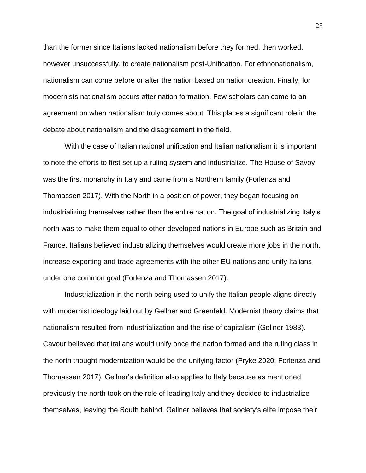than the former since Italians lacked nationalism before they formed, then worked, however unsuccessfully, to create nationalism post-Unification. For ethnonationalism, nationalism can come before or after the nation based on nation creation. Finally, for modernists nationalism occurs after nation formation. Few scholars can come to an agreement on when nationalism truly comes about. This places a significant role in the debate about nationalism and the disagreement in the field.

With the case of Italian national unification and Italian nationalism it is important to note the efforts to first set up a ruling system and industrialize. The House of Savoy was the first monarchy in Italy and came from a Northern family (Forlenza and Thomassen 2017). With the North in a position of power, they began focusing on industrializing themselves rather than the entire nation. The goal of industrializing Italy's north was to make them equal to other developed nations in Europe such as Britain and France. Italians believed industrializing themselves would create more jobs in the north, increase exporting and trade agreements with the other EU nations and unify Italians under one common goal (Forlenza and Thomassen 2017).

Industrialization in the north being used to unify the Italian people aligns directly with modernist ideology laid out by Gellner and Greenfeld. Modernist theory claims that nationalism resulted from industrialization and the rise of capitalism (Gellner 1983). Cavour believed that Italians would unify once the nation formed and the ruling class in the north thought modernization would be the unifying factor (Pryke 2020; Forlenza and Thomassen 2017). Gellner's definition also applies to Italy because as mentioned previously the north took on the role of leading Italy and they decided to industrialize themselves, leaving the South behind. Gellner believes that society's elite impose their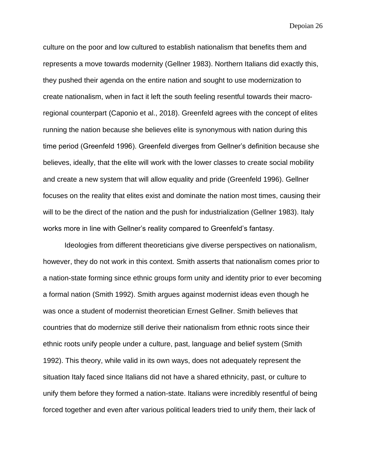culture on the poor and low cultured to establish nationalism that benefits them and represents a move towards modernity (Gellner 1983). Northern Italians did exactly this, they pushed their agenda on the entire nation and sought to use modernization to create nationalism, when in fact it left the south feeling resentful towards their macroregional counterpart (Caponio et al., 2018). Greenfeld agrees with the concept of elites running the nation because she believes elite is synonymous with nation during this time period (Greenfeld 1996). Greenfeld diverges from Gellner's definition because she believes, ideally, that the elite will work with the lower classes to create social mobility and create a new system that will allow equality and pride (Greenfeld 1996). Gellner focuses on the reality that elites exist and dominate the nation most times, causing their will to be the direct of the nation and the push for industrialization (Gellner 1983). Italy works more in line with Gellner's reality compared to Greenfeld's fantasy.

Ideologies from different theoreticians give diverse perspectives on nationalism, however, they do not work in this context. Smith asserts that nationalism comes prior to a nation-state forming since ethnic groups form unity and identity prior to ever becoming a formal nation (Smith 1992). Smith argues against modernist ideas even though he was once a student of modernist theoretician Ernest Gellner. Smith believes that countries that do modernize still derive their nationalism from ethnic roots since their ethnic roots unify people under a culture, past, language and belief system (Smith 1992). This theory, while valid in its own ways, does not adequately represent the situation Italy faced since Italians did not have a shared ethnicity, past, or culture to unify them before they formed a nation-state. Italians were incredibly resentful of being forced together and even after various political leaders tried to unify them, their lack of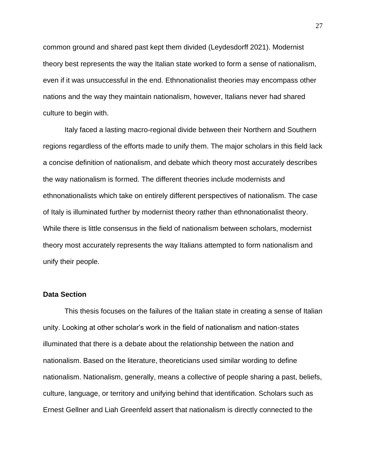common ground and shared past kept them divided (Leydesdorff 2021). Modernist theory best represents the way the Italian state worked to form a sense of nationalism, even if it was unsuccessful in the end. Ethnonationalist theories may encompass other nations and the way they maintain nationalism, however, Italians never had shared culture to begin with.

Italy faced a lasting macro-regional divide between their Northern and Southern regions regardless of the efforts made to unify them. The major scholars in this field lack a concise definition of nationalism, and debate which theory most accurately describes the way nationalism is formed. The different theories include modernists and ethnonationalists which take on entirely different perspectives of nationalism. The case of Italy is illuminated further by modernist theory rather than ethnonationalist theory. While there is little consensus in the field of nationalism between scholars, modernist theory most accurately represents the way Italians attempted to form nationalism and unify their people.

## **Data Section**

This thesis focuses on the failures of the Italian state in creating a sense of Italian unity. Looking at other scholar's work in the field of nationalism and nation-states illuminated that there is a debate about the relationship between the nation and nationalism. Based on the literature, theoreticians used similar wording to define nationalism. Nationalism, generally, means a collective of people sharing a past, beliefs, culture, language, or territory and unifying behind that identification. Scholars such as Ernest Gellner and Liah Greenfeld assert that nationalism is directly connected to the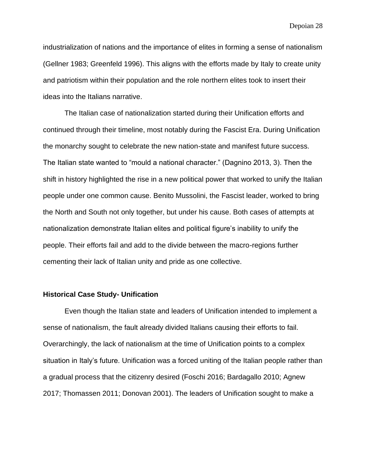industrialization of nations and the importance of elites in forming a sense of nationalism (Gellner 1983; Greenfeld 1996). This aligns with the efforts made by Italy to create unity and patriotism within their population and the role northern elites took to insert their ideas into the Italians narrative.

The Italian case of nationalization started during their Unification efforts and continued through their timeline, most notably during the Fascist Era. During Unification the monarchy sought to celebrate the new nation-state and manifest future success. The Italian state wanted to "mould a national character." (Dagnino 2013, 3). Then the shift in history highlighted the rise in a new political power that worked to unify the Italian people under one common cause. Benito Mussolini, the Fascist leader, worked to bring the North and South not only together, but under his cause. Both cases of attempts at nationalization demonstrate Italian elites and political figure's inability to unify the people. Their efforts fail and add to the divide between the macro-regions further cementing their lack of Italian unity and pride as one collective.

#### **Historical Case Study- Unification**

Even though the Italian state and leaders of Unification intended to implement a sense of nationalism, the fault already divided Italians causing their efforts to fail. Overarchingly, the lack of nationalism at the time of Unification points to a complex situation in Italy's future. Unification was a forced uniting of the Italian people rather than a gradual process that the citizenry desired (Foschi 2016; Bardagallo 2010; Agnew 2017; Thomassen 2011; Donovan 2001). The leaders of Unification sought to make a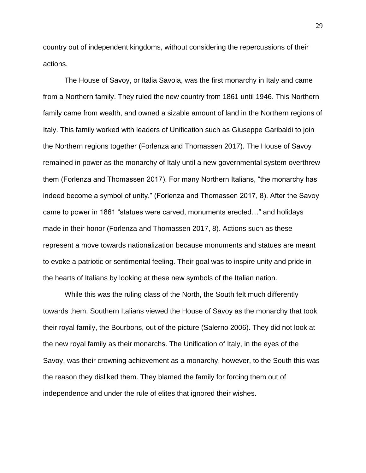country out of independent kingdoms, without considering the repercussions of their actions.

The House of Savoy, or Italia Savoia, was the first monarchy in Italy and came from a Northern family. They ruled the new country from 1861 until 1946. This Northern family came from wealth, and owned a sizable amount of land in the Northern regions of Italy. This family worked with leaders of Unification such as Giuseppe Garibaldi to join the Northern regions together (Forlenza and Thomassen 2017). The House of Savoy remained in power as the monarchy of Italy until a new governmental system overthrew them (Forlenza and Thomassen 2017). For many Northern Italians, "the monarchy has indeed become a symbol of unity." (Forlenza and Thomassen 2017, 8). After the Savoy came to power in 1861 "statues were carved, monuments erected…" and holidays made in their honor (Forlenza and Thomassen 2017, 8). Actions such as these represent a move towards nationalization because monuments and statues are meant to evoke a patriotic or sentimental feeling. Their goal was to inspire unity and pride in the hearts of Italians by looking at these new symbols of the Italian nation.

While this was the ruling class of the North, the South felt much differently towards them. Southern Italians viewed the House of Savoy as the monarchy that took their royal family, the Bourbons, out of the picture (Salerno 2006). They did not look at the new royal family as their monarchs. The Unification of Italy, in the eyes of the Savoy, was their crowning achievement as a monarchy, however, to the South this was the reason they disliked them. They blamed the family for forcing them out of independence and under the rule of elites that ignored their wishes.

29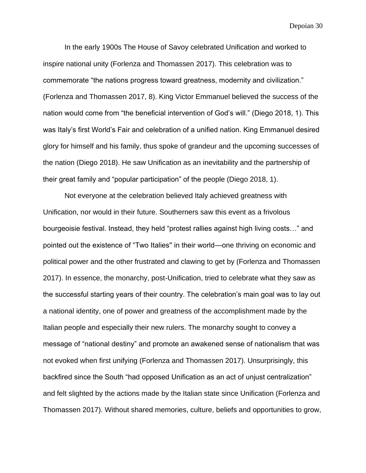In the early 1900s The House of Savoy celebrated Unification and worked to inspire national unity (Forlenza and Thomassen 2017). This celebration was to commemorate "the nations progress toward greatness, modernity and civilization." (Forlenza and Thomassen 2017, 8). King Victor Emmanuel believed the success of the nation would come from "the beneficial intervention of God's will." (Diego 2018, 1). This was Italy's first World's Fair and celebration of a unified nation. King Emmanuel desired glory for himself and his family, thus spoke of grandeur and the upcoming successes of the nation (Diego 2018). He saw Unification as an inevitability and the partnership of their great family and "popular participation" of the people (Diego 2018, 1).

Not everyone at the celebration believed Italy achieved greatness with Unification, nor would in their future. Southerners saw this event as a frivolous bourgeoisie festival. Instead, they held "protest rallies against high living costs…" and pointed out the existence of "Two Italies'' in their world—one thriving on economic and political power and the other frustrated and clawing to get by (Forlenza and Thomassen 2017). In essence, the monarchy, post-Unification, tried to celebrate what they saw as the successful starting years of their country. The celebration's main goal was to lay out a national identity, one of power and greatness of the accomplishment made by the Italian people and especially their new rulers. The monarchy sought to convey a message of "national destiny" and promote an awakened sense of nationalism that was not evoked when first unifying (Forlenza and Thomassen 2017). Unsurprisingly, this backfired since the South "had opposed Unification as an act of unjust centralization" and felt slighted by the actions made by the Italian state since Unification (Forlenza and Thomassen 2017). Without shared memories, culture, beliefs and opportunities to grow,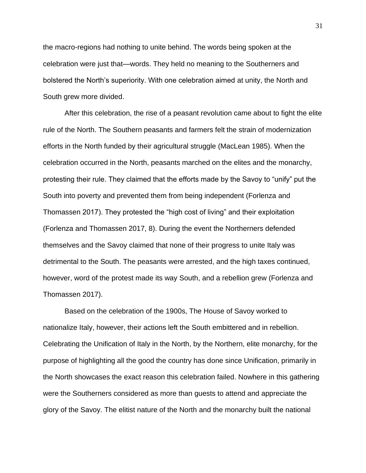the macro-regions had nothing to unite behind. The words being spoken at the celebration were just that—words. They held no meaning to the Southerners and bolstered the North's superiority. With one celebration aimed at unity, the North and South grew more divided.

After this celebration, the rise of a peasant revolution came about to fight the elite rule of the North. The Southern peasants and farmers felt the strain of modernization efforts in the North funded by their agricultural struggle (MacLean 1985). When the celebration occurred in the North, peasants marched on the elites and the monarchy, protesting their rule. They claimed that the efforts made by the Savoy to "unify" put the South into poverty and prevented them from being independent (Forlenza and Thomassen 2017). They protested the "high cost of living" and their exploitation (Forlenza and Thomassen 2017, 8). During the event the Northerners defended themselves and the Savoy claimed that none of their progress to unite Italy was detrimental to the South. The peasants were arrested, and the high taxes continued, however, word of the protest made its way South, and a rebellion grew (Forlenza and Thomassen 2017).

Based on the celebration of the 1900s, The House of Savoy worked to nationalize Italy, however, their actions left the South embittered and in rebellion. Celebrating the Unification of Italy in the North, by the Northern, elite monarchy, for the purpose of highlighting all the good the country has done since Unification, primarily in the North showcases the exact reason this celebration failed. Nowhere in this gathering were the Southerners considered as more than guests to attend and appreciate the glory of the Savoy. The elitist nature of the North and the monarchy built the national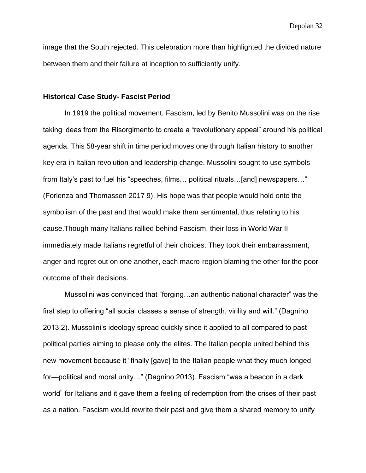image that the South rejected. This celebration more than highlighted the divided nature between them and their failure at inception to sufficiently unify.

#### **Historical Case Study- Fascist Period**

In 1919 the political movement, Fascism, led by Benito Mussolini was on the rise taking ideas from the Risorgimento to create a "revolutionary appeal" around his political agenda. This 58-year shift in time period moves one through Italian history to another key era in Italian revolution and leadership change. Mussolini sought to use symbols from Italy's past to fuel his "speeches, films… political rituals…[and] newspapers…" (Forlenza and Thomassen 2017 9). His hope was that people would hold onto the symbolism of the past and that would make them sentimental, thus relating to his cause.Though many Italians rallied behind Fascism, their loss in World War II immediately made Italians regretful of their choices. They took their embarrassment, anger and regret out on one another, each macro-region blaming the other for the poor outcome of their decisions.

Mussolini was convinced that "forging…an authentic national character" was the first step to offering "all social classes a sense of strength, virility and will." (Dagnino 2013,2). Mussolini's ideology spread quickly since it applied to all compared to past political parties aiming to please only the elites. The Italian people united behind this new movement because it "finally [gave] to the Italian people what they much longed for—political and moral unity…" (Dagnino 2013). Fascism "was a beacon in a dark world" for Italians and it gave them a feeling of redemption from the crises of their past as a nation. Fascism would rewrite their past and give them a shared memory to unify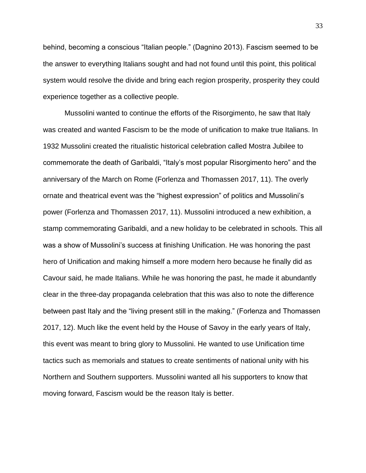behind, becoming a conscious "Italian people." (Dagnino 2013). Fascism seemed to be the answer to everything Italians sought and had not found until this point, this political system would resolve the divide and bring each region prosperity, prosperity they could experience together as a collective people.

Mussolini wanted to continue the efforts of the Risorgimento, he saw that Italy was created and wanted Fascism to be the mode of unification to make true Italians. In 1932 Mussolini created the ritualistic historical celebration called Mostra Jubilee to commemorate the death of Garibaldi, "Italy's most popular Risorgimento hero" and the anniversary of the March on Rome (Forlenza and Thomassen 2017, 11). The overly ornate and theatrical event was the "highest expression" of politics and Mussolini's power (Forlenza and Thomassen 2017, 11). Mussolini introduced a new exhibition, a stamp commemorating Garibaldi, and a new holiday to be celebrated in schools. This all was a show of Mussolini's success at finishing Unification. He was honoring the past hero of Unification and making himself a more modern hero because he finally did as Cavour said, he made Italians. While he was honoring the past, he made it abundantly clear in the three-day propaganda celebration that this was also to note the difference between past Italy and the "living present still in the making." (Forlenza and Thomassen 2017, 12). Much like the event held by the House of Savoy in the early years of Italy, this event was meant to bring glory to Mussolini. He wanted to use Unification time tactics such as memorials and statues to create sentiments of national unity with his Northern and Southern supporters. Mussolini wanted all his supporters to know that moving forward, Fascism would be the reason Italy is better.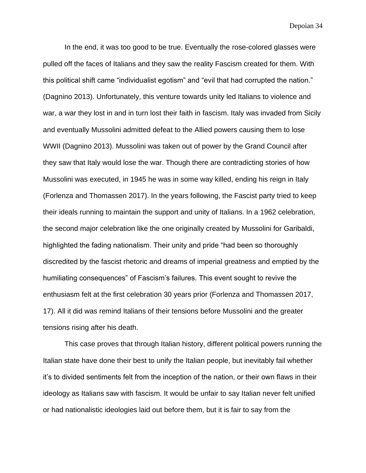In the end, it was too good to be true. Eventually the rose-colored glasses were pulled off the faces of Italians and they saw the reality Fascism created for them. With this political shift came "individualist egotism" and "evil that had corrupted the nation." (Dagnino 2013). Unfortunately, this venture towards unity led Italians to violence and war, a war they lost in and in turn lost their faith in fascism. Italy was invaded from Sicily and eventually Mussolini admitted defeat to the Allied powers causing them to lose WWII (Dagnino 2013). Mussolini was taken out of power by the Grand Council after they saw that Italy would lose the war. Though there are contradicting stories of how Mussolini was executed, in 1945 he was in some way killed, ending his reign in Italy (Forlenza and Thomassen 2017). In the years following, the Fascist party tried to keep their ideals running to maintain the support and unity of Italians. In a 1962 celebration, the second major celebration like the one originally created by Mussolini for Garibaldi, highlighted the fading nationalism. Their unity and pride "had been so thoroughly discredited by the fascist rhetoric and dreams of imperial greatness and emptied by the humiliating consequences" of Fascism's failures. This event sought to revive the enthusiasm felt at the first celebration 30 years prior (Forlenza and Thomassen 2017, 17). All it did was remind Italians of their tensions before Mussolini and the greater tensions rising after his death.

This case proves that through Italian history, different political powers running the Italian state have done their best to unify the Italian people, but inevitably fail whether it's to divided sentiments felt from the inception of the nation, or their own flaws in their ideology as Italians saw with fascism. It would be unfair to say Italian never felt unified or had nationalistic ideologies laid out before them, but it is fair to say from the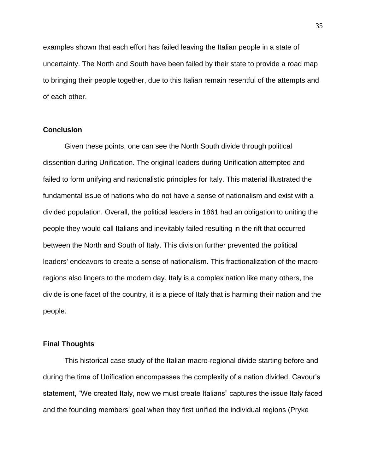examples shown that each effort has failed leaving the Italian people in a state of uncertainty. The North and South have been failed by their state to provide a road map to bringing their people together, due to this Italian remain resentful of the attempts and of each other.

## **Conclusion**

Given these points, one can see the North South divide through political dissention during Unification. The original leaders during Unification attempted and failed to form unifying and nationalistic principles for Italy. This material illustrated the fundamental issue of nations who do not have a sense of nationalism and exist with a divided population. Overall, the political leaders in 1861 had an obligation to uniting the people they would call Italians and inevitably failed resulting in the rift that occurred between the North and South of Italy. This division further prevented the political leaders' endeavors to create a sense of nationalism. This fractionalization of the macroregions also lingers to the modern day. Italy is a complex nation like many others, the divide is one facet of the country, it is a piece of Italy that is harming their nation and the people.

### **Final Thoughts**

This historical case study of the Italian macro-regional divide starting before and during the time of Unification encompasses the complexity of a nation divided. Cavour's statement, "We created Italy, now we must create Italians" captures the issue Italy faced and the founding members' goal when they first unified the individual regions (Pryke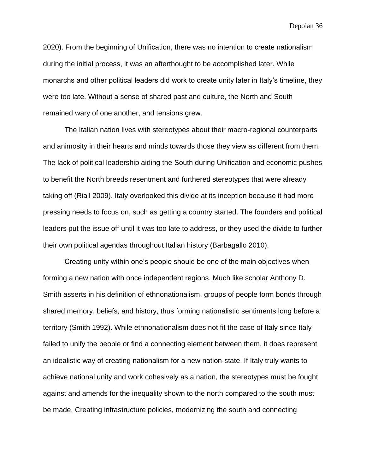2020). From the beginning of Unification, there was no intention to create nationalism during the initial process, it was an afterthought to be accomplished later. While monarchs and other political leaders did work to create unity later in Italy's timeline, they were too late. Without a sense of shared past and culture, the North and South remained wary of one another, and tensions grew.

The Italian nation lives with stereotypes about their macro-regional counterparts and animosity in their hearts and minds towards those they view as different from them. The lack of political leadership aiding the South during Unification and economic pushes to benefit the North breeds resentment and furthered stereotypes that were already taking off (Riall 2009). Italy overlooked this divide at its inception because it had more pressing needs to focus on, such as getting a country started. The founders and political leaders put the issue off until it was too late to address, or they used the divide to further their own political agendas throughout Italian history (Barbagallo 2010).

Creating unity within one's people should be one of the main objectives when forming a new nation with once independent regions. Much like scholar Anthony D. Smith asserts in his definition of ethnonationalism, groups of people form bonds through shared memory, beliefs, and history, thus forming nationalistic sentiments long before a territory (Smith 1992). While ethnonationalism does not fit the case of Italy since Italy failed to unify the people or find a connecting element between them, it does represent an idealistic way of creating nationalism for a new nation-state. If Italy truly wants to achieve national unity and work cohesively as a nation, the stereotypes must be fought against and amends for the inequality shown to the north compared to the south must be made. Creating infrastructure policies, modernizing the south and connecting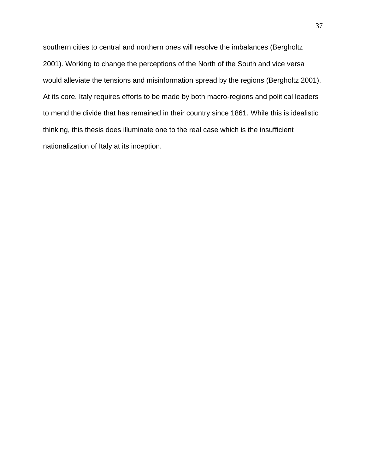southern cities to central and northern ones will resolve the imbalances (Bergholtz 2001). Working to change the perceptions of the North of the South and vice versa would alleviate the tensions and misinformation spread by the regions (Bergholtz 2001). At its core, Italy requires efforts to be made by both macro-regions and political leaders to mend the divide that has remained in their country since 1861. While this is idealistic thinking, this thesis does illuminate one to the real case which is the insufficient nationalization of Italy at its inception.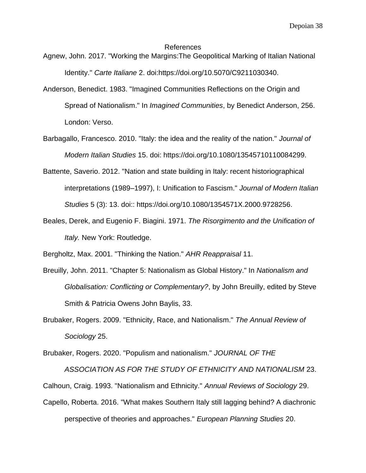#### References

- Agnew, John. 2017. "Working the Margins:The Geopolitical Marking of Italian National Identity." *Carte Italiane* 2. doi:https://doi.org/10.5070/C9211030340.
- Anderson, Benedict. 1983. "Imagined Communities Reflections on the Origin and Spread of Nationalism." In *Imagined Communities*, by Benedict Anderson, 256. London: Verso.
- Barbagallo, Francesco. 2010. "Italy: the idea and the reality of the nation." *Journal of Modern Italian Studies* 15. doi: https://doi.org/10.1080/13545710110084299.
- Battente, Saverio. 2012. "Nation and state building in Italy: recent historiographical interpretations (1989–1997), I: Unification to Fascism." *Journal of Modern Italian Studies* 5 (3): 13. doi:: https://doi.org/10.1080/1354571X.2000.9728256.
- Beales, Derek, and Eugenio F. Biagini. 1971. *The Risorgimento and the Unification of Italy.* New York: Routledge.

Bergholtz, Max. 2001. "Thinking the Nation." *AHR Reappraisal* 11.

- Breuilly, John. 2011. "Chapter 5: Nationalism as Global History." In *Nationalism and Globalisation: Conflicting or Complementary?*, by John Breuilly, edited by Steve Smith & Patricia Owens John Baylis, 33.
- Brubaker, Rogers. 2009. "Ethnicity, Race, and Nationalism." *The Annual Review of Sociology* 25.

Brubaker, Rogers. 2020. "Populism and nationalism." *JOURNAL OF THE* 

*ASSOCIATION AS FOR THE STUDY OF ETHNICITY AND NATIONALISM* 23.

Calhoun, Craig. 1993. "Nationalism and Ethnicity." *Annual Reviews of Sociology* 29.

Capello, Roberta. 2016. "What makes Southern Italy still lagging behind? A diachronic perspective of theories and approaches." *European Planning Studies* 20.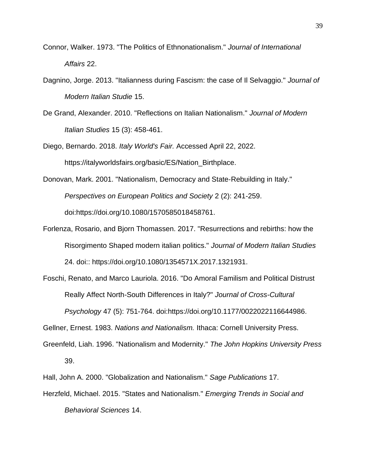- Connor, Walker. 1973. "The Politics of Ethnonationalism." *Journal of International Affairs* 22.
- Dagnino, Jorge. 2013. "Italianness during Fascism: the case of Il Selvaggio." *Journal of Modern Italian Studie* 15.
- De Grand, Alexander. 2010. "Reflections on Italian Nationalism." *Journal of Modern Italian Studies* 15 (3): 458-461.

Diego, Bernardo. 2018. *Italy World's Fair.* Accessed April 22, 2022. https://italyworldsfairs.org/basic/ES/Nation\_Birthplace.

Donovan, Mark. 2001. "Nationalism, Democracy and State‐Rebuilding in Italy." *Perspectives on European Politics and Society* 2 (2): 241-259. doi:https://doi.org/10.1080/1570585018458761.

Forlenza, Rosario, and Bjorn Thomassen. 2017. "Resurrections and rebirths: how the Risorgimento Shaped modern italian politics." *Journal of Modern Italian Studies* 24. doi:: https://doi.org/10.1080/1354571X.2017.1321931.

Foschi, Renato, and Marco Lauriola. 2016. "Do Amoral Familism and Political Distrust Really Affect North-South Differences in Italy?" *Journal of Cross-Cultural Psychology* 47 (5): 751-764. doi:https://doi.org/10.1177/0022022116644986.

Gellner, Ernest. 1983. *Nations and Nationalism.* Ithaca: Cornell University Press.

Greenfeld, Liah. 1996. "Nationalism and Modernity." *The John Hopkins University Press* 39.

Hall, John A. 2000. "Globalization and Nationalism." *Sage Publications* 17.

Herzfeld, Michael. 2015. "States and Nationalism." *Emerging Trends in Social and* 

*Behavioral Sciences* 14.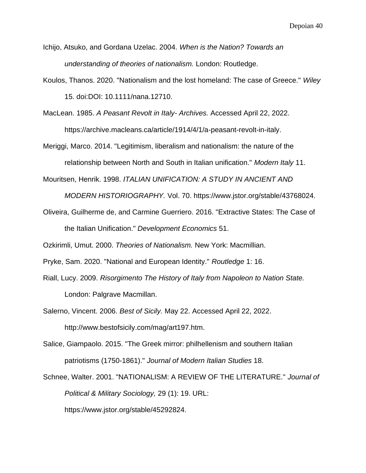Ichijo, Atsuko, and Gordana Uzelac. 2004. *When is the Nation? Towards an understanding of theories of nationalism.* London: Routledge.

Koulos, Thanos. 2020. "Nationalism and the lost homeland: The case of Greece." *Wiley* 15. doi:DOI: 10.1111/nana.12710.

MacLean. 1985. *A Peasant Revolt in Italy- Archives.* Accessed April 22, 2022. https://archive.macleans.ca/article/1914/4/1/a-peasant-revolt-in-italy.

Meriggi, Marco. 2014. "Legitimism, liberalism and nationalism: the nature of the relationship between North and South in Italian unification." *Modern Italy* 11.

Mouritsen, Henrik. 1998. *ITALIAN UNIFICATION: A STUDY IN ANCIENT AND* 

*MODERN HISTORIOGRAPHY.* Vol. 70. https://www.jstor.org/stable/43768024.

Oliveira, Guilherme de, and Carmine Guerriero. 2016. "Extractive States: The Case of the Italian Unification." *Development Economics* 51.

Ozkirimli, Umut. 2000. *Theories of Nationalism.* New York: Macmillian.

- Pryke, Sam. 2020. "National and European Identity." *Routledge* 1: 16.
- Riall, Lucy. 2009. *Risorgimento The History of Italy from Napoleon to Nation State.*

London: Palgrave Macmillan.

Salerno, Vincent. 2006. *Best of Sicily.* May 22. Accessed April 22, 2022.

http://www.bestofsicily.com/mag/art197.htm.

- Salice, Giampaolo. 2015. "The Greek mirror: philhellenism and southern Italian patriotisms (1750-1861)." *Journal of Modern Italian Studies* 18.
- Schnee, Walter. 2001. "NATIONALISM: A REVIEW OF THE LITERATURE." *Journal of Political & Military Sociology,* 29 (1): 19. URL:

https://www.jstor.org/stable/45292824.